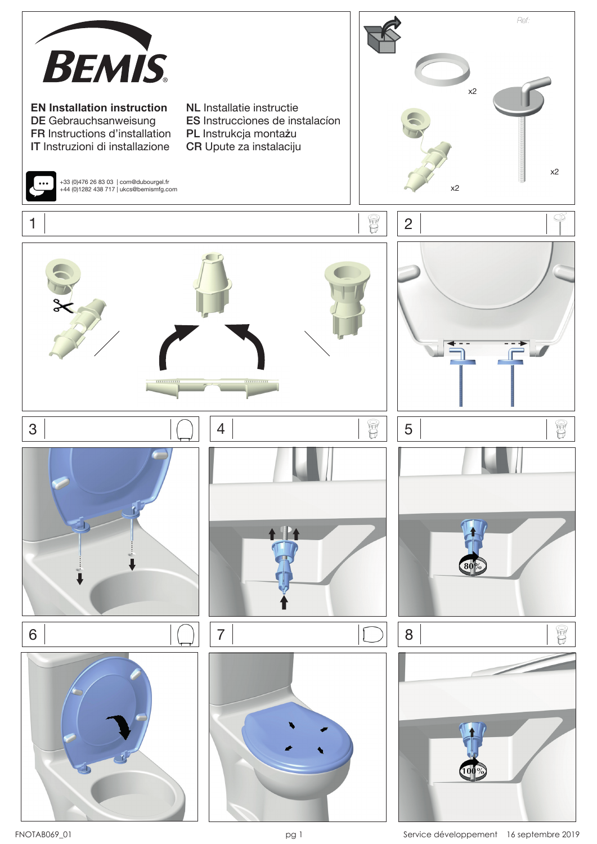

FNOTAB069\_01 **pg 1** pg 1 Service développement 16 septembre 2019